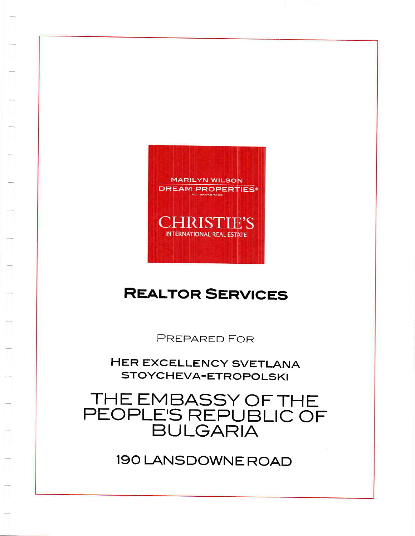190 LANSDOWNE ROAD

# THE EMBASSY OF THE<br>PEOPLE'S REPUBLIC OF

HER EXCELLENCY SVETLANA STOYCHEVA-ETROPOLSKI

PREPARED FOR

### **REALTOR SERVICES**

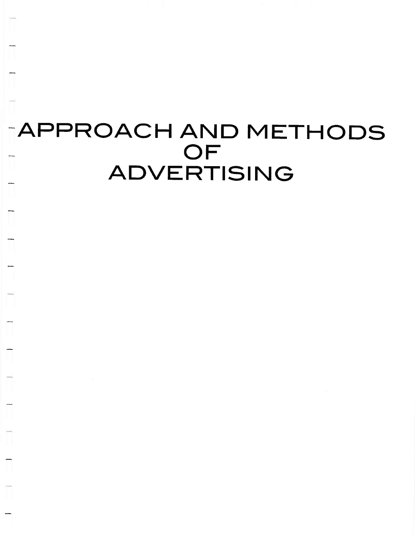# TAPPROACH AND METHODS **ADVERTISING**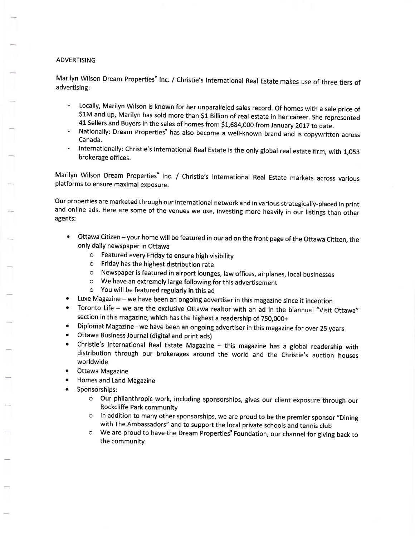#### ADVERTISING

Marilyn Wilson Dream Properties<sup>®</sup> Inc. / Christie's International Real Estate makes use of three tiers of advertising:

- Locally, Marilyn Wilson is known for her unparalleled sales record. Of homes with a sale price of \$1M and up, Marilyn has sold more than \$1 Billion of real estate in her career. She represented 41 Sellers and Buyers in the sales of homes from \$1,684,000 from January 2017 to date.
- Nationally: Dream Properties' has also become a well-known brand and is copywritten across Canada.
- Internationally: christie's International Real Estate is the only global real estate firm, with 1,053 brokerage offices.

Marilyn Wilson Dream Properties' Inc. / Christie's International Real Estate markets across various platforms to ensure maximal exposure.

our properties are marketed through our international network and in various strategically-placed in print and online ads. Here are some of the venues we use, investing more heavily in our listings than other agents:

- Ottawa Citizen your home will be featured in our ad on the front page of the Ottawa Citizen, the only daily newspaper in Ottawa
	- o Featured every Friday to ensure high visibility
	- o Friday has the highest distribution rate
	- o Newspaper is featured in airport lounges, law offices, airplanes, local businesses
	- o We have an extremely large following for this advertisement
	- o You will be featured regularly in this ad
- a Luxe Magazine - we have been an ongoing advertiser in this magazine since it inception
- o Toronto Life - we are the exclusive Ottawa realtor with an ad in the biannual "Visit Ottawa" section in this magazine, which has the highest a readership of 750,000+
- Diplomat Magazine we have been an ongoing advertiser in this magazine for over 25 years a
- Ottawa Business Journal (digital and print ads) a
- Christie's International Real Estate Magazine this magazine has a global readership with distribution through our brokerages around the world and the Christie's auction houses worldwide a
- Ottawa Magazine a
- Homes and Land Magazine a
- Sponsorships: a
	- o Our philanthropic work, including sponsorships, gives our client exposure through our Rockcliffe Park community
	- o In addition to many other sponsorships, we are proud to be the premier sponsor "Dining with The Ambassadors" and to support the local private schools and tennis club
	- o We are proud to have the Dream Propefties" Foundation, our channel for giving back to the community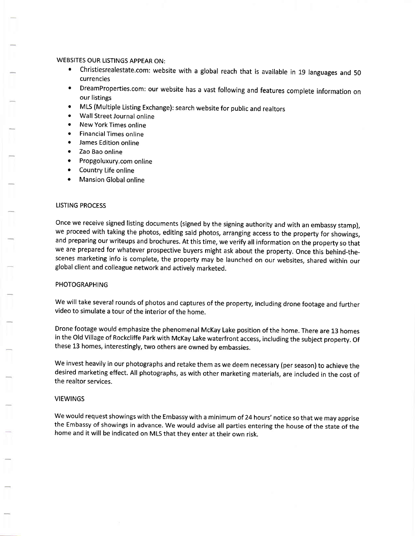#### WEBSITES OUR LISTINGS APPEAR ON:

- Christiesrealestate.com: website with a global reach that is available in 19 languages and 50 currencies
- o DreamProperties.com: our website has a vast following and features complete information on our listings
- MLS (Multiple Listing Exchange): search website for public and realtors
- Wall Street Journal online
- New York Times online
- Financial Times online
- James Edition online
- Zao Bao online
- Propgoluxury.com online
- Country Life online
- **Mansion Global online**

#### LISTING PROCESS

Once we receive signed listing documents (signed by the signing authority and with an embassy stamp), we proceed with taking the photos, editing said photos, arranging access to the property for showings, and preparing our writeups and brochures. At this time, we verify all information on the property so that we are prepared for whatever prospective buyers might ask about the property. Once this behind-thescenes marketing info is complete, the property may be launched on our websites, shared within our global client and colleague network and actively marketed.

#### PHOTOGRAPHING

We will take several rounds of photos and captures of the property, including drone footage and further video to simulate a tour of the interior of the home.

Drone footage would emphasize the phenomenal McKay Lake position of the home. There are 13 homes in the Old Village of Rockcliffe Park with McKay Lake waterfront access, including the subject property. Of these 13 homes, interestingly, two others are owned by embassies.

We invest heavily in our photographs and retake them as we deem necessary (per season) to achieve the desired marketing effect. All photographs, as with other marketing materials, are included in the cost of the realtor services.

#### VIEWINGS

We would request showings with the Embassy with a minimum of 24 hours' notice so that we may apprise the Embassy of showings in advance. We would advise all parties entering the house of the state of the home and it will be indicated on MLS that they enter at their own risk.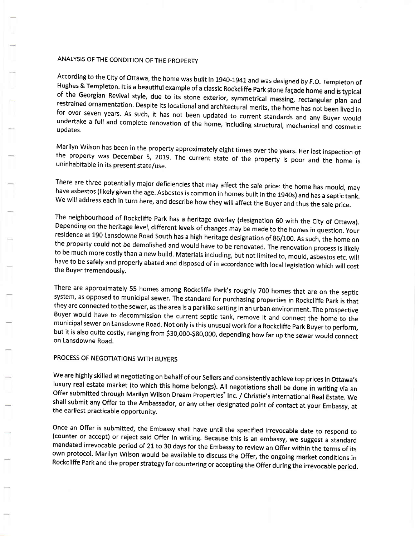#### ANALYSIS OF THE CONDITION OF THE PROPERTY

According to the City of Ottawa, the home was built in 1940-1941 and was designed by F.O. Templeton of Hughes & Templeton. It is a beautiful example of a classic Rockcliffe Park stone façade home and is typical of the Geor

Marilyn Wilson has been in the property approximately eight times over the years. Her last inspection of the property was December 5, 2019. The current state of the property is poor and the home is uninhabitable in its pre

There are three potentially major deficiencies that may affect the sale price: the home has mould, may<br>have asbestos (likely given the age. Asbestos is common in homes built in the 1940s) and has a septic tank.<br>We will add

The neighbourhood of Rockcliffe Park has a heritage overlay (designation 60 with the City of Ottawa). Depending on the heritage level, different levels of changes may be made to the homes in question. Your residence at 190 the property could not be demolished and would have to be renovated. The renovation process is likely<br>to be much more costly than a new build. Materials including, but not limited to, mould, asbestos etc. will<br>have to be s

There are approximately 55 homes among Rockcliffe Park's roughly 700 homes that are on the septic system, as opposed to municipal sewer. The standard for purchasing properties in Rockcliffe Park is that they are connected municipal sewer on Lansdowne Road. Not only is this unusual work for a Rockcliffe Park Buyer to perform, but it is also quite costly, ranging from S30,000-S8o,ooo, depending how far up the sewer would connect on Lansdowne Road.

#### PROCESS OF NEGOTIATIONS WITH BUYERS

We are highly skilled at negotiating on behalf of our Sellers and consistently achieve top prices in Ottawa's luxury real estate market (to which this home belongs). All negotiations shall be done in writing via an Offer s

Once an Offer is submitted, the Embassy shall have until the specified irrevocable date to respond to (counter or accept) or reject said Offer in writing. Because this is an embassy, we suggest a standard mandated irrevoca own protocol. Marilyn wilson would be available to discuss the offer, the ongoing market conditions in Rockcliffe Park and the proper strategy for countering or accepting the offer during the irrevocable period.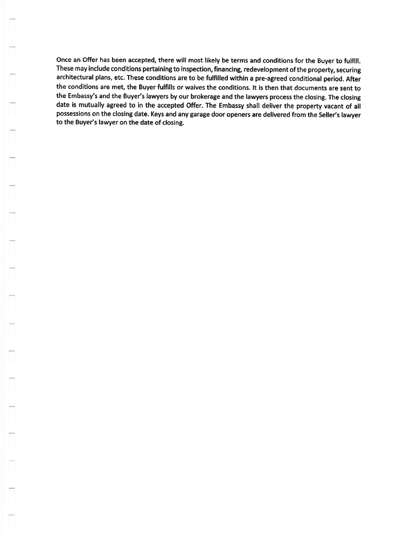once an offer has been accepted, there will most likely be terms and conditions for the Buyer to fulfill. These may include conditions pertaining to inspection, financing, redevelopment of the property, securing architectural plans, etc. These conditions are to be fulfilled within a pre-agreed conditional period. After the conditions are met, the Buyer fulfills or waives the conditions. It is then that documents are sent to the Embassy's and the Buyer's lawyers by our brokerage and the lawyers process the closing. The closing date is mutually agreed to in the accepted Offer. The Embassy shall detiver the property vacant of all possessions on the closing date. Keys and any garage door openers are delivered from the Seller's lawyer to the Buyer's lawyer on the date of closing.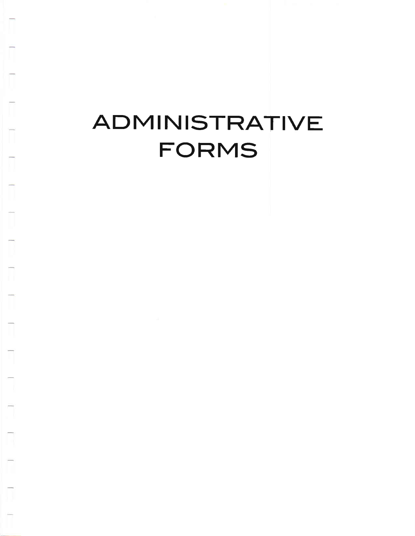## ADMINISTRATIVE FORMS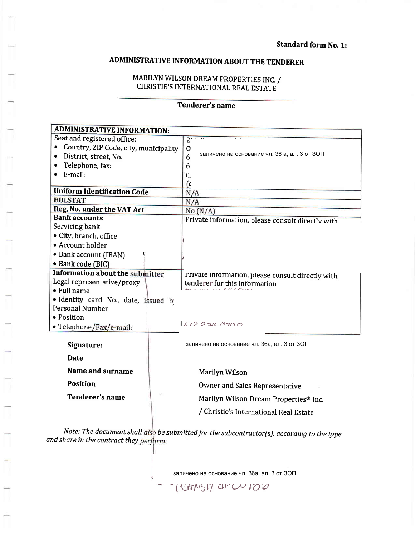#### ADMINISTRATIVE INFORMATION ABOUT THE TENDERER

#### MARILYN WILSON DREAM PROPERTIES INC. / CHRISTIE'S INTERNATIONAL REAL ESTATE

#### Tenderer's name

| <b>ADMINISTRATIVE INFORMATION:</b>         |                                                                |  |  |
|--------------------------------------------|----------------------------------------------------------------|--|--|
| Seat and registered office:                | $2^{n}$                                                        |  |  |
| Country, ZIP Code, city, municipality      | $\mathbf 0$                                                    |  |  |
| District, street, No.                      | заличено на основание чл. 36 а, ал. 3 от ЗОП<br>6 <sup>°</sup> |  |  |
| Telephone, fax:                            | 6 <sup>1</sup>                                                 |  |  |
| E-mail:                                    | m                                                              |  |  |
|                                            | (c                                                             |  |  |
| <b>Uniform Identification Code</b>         | N/A                                                            |  |  |
| <b>BULSTAT</b>                             | N/A                                                            |  |  |
| Reg. No. under the VAT Act                 | No(N/A)                                                        |  |  |
| <b>Bank accounts</b>                       | Private information, please consult directly with              |  |  |
| Servicing bank                             |                                                                |  |  |
| • City, branch, office                     |                                                                |  |  |
| • Account holder                           |                                                                |  |  |
| • Bank account (IBAN)                      |                                                                |  |  |
| · Bank code (BIC)                          |                                                                |  |  |
| <b>Information about the submitter</b>     | Private information, please consult directly with              |  |  |
| Legal representative/proxy:<br>• Full name | tenderer for this information                                  |  |  |
| · Identity card No., date, issued b        |                                                                |  |  |
| <b>Personal Number</b>                     |                                                                |  |  |
| • Position                                 |                                                                |  |  |
| • Telephone/Fax/e-mail:                    | $1/10$ $970$ $3700$                                            |  |  |
|                                            |                                                                |  |  |
| Signature:                                 | заличено на основание чл. 36а, ал. 3 от ЗОП                    |  |  |
| <b>Date</b>                                |                                                                |  |  |
| Name and surname                           | Marilyn Wilson                                                 |  |  |
| <b>Position</b>                            | <b>Owner and Sales Representative</b>                          |  |  |
| Tenderer's name                            |                                                                |  |  |
|                                            | Marilyn Wilson Dream Properties® Inc.                          |  |  |
|                                            | / Christie's International Real Estate                         |  |  |
|                                            |                                                                |  |  |

Note: The document shall als<mark>p be submitted for the subcontractor(s),</mark> according to the type and share in the contract they perform.

.<br>заличено на основание чл. 36а, ал. 3 от ЗОП

THE TRAINST ON DU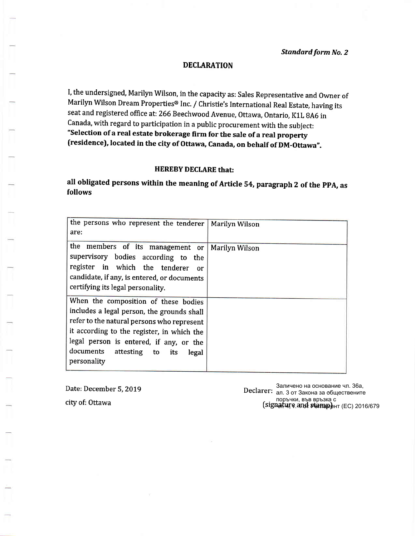I, the undersigned, Marilyn Wilson, in the capacity as: Sales Representative and Owner of Marilyn Wilson Dream Properties® Inc. / Christie's International Real Estate, having its seat and registered office at: 266 Beechwood Avenue, Ottawa, Ontario, K1L 8A6 in canada, with regard to participation in a public procurement with the subject: "Selection of a real estate brokerage firm for the sale of a real property (residence), located in the city of Ottawa, Canada, on behalf of DM-Ottawa".

#### HEREBY DECLARE that:

all obligated persons within the meaning of Article 54, paragraph 2 of the PPA, as follows

| the persons who represent the tenderer<br>are:                                                                                                                                                                                                                                  | <b>Marilyn Wilson</b> |
|---------------------------------------------------------------------------------------------------------------------------------------------------------------------------------------------------------------------------------------------------------------------------------|-----------------------|
| the members of its management or<br>supervisory bodies according to the<br>register in which the tenderer<br>or<br>candidate, if any, is entered, or documents<br>certifying its legal personality.                                                                             | Marilyn Wilson        |
| When the composition of these bodies<br>includes a legal person, the grounds shall<br>refer to the natural persons who represent<br>it according to the register, in which the<br>legal person is entered, if any, or the<br>documents attesting to its<br>legal<br>personality |                       |

Date: December 5, 2019 city of: Ottawa

Declarer: заличено на основание чл. зоа,<br>Declarer: <sub>ал. 3 от</sub> Закона за обществените поръчки, във връзка с<br>(signature and <del>stam</del>p) Заличено на основание чл. 36а, **цагці е ап. 4 реапаме**нт (ЕС) 2016/679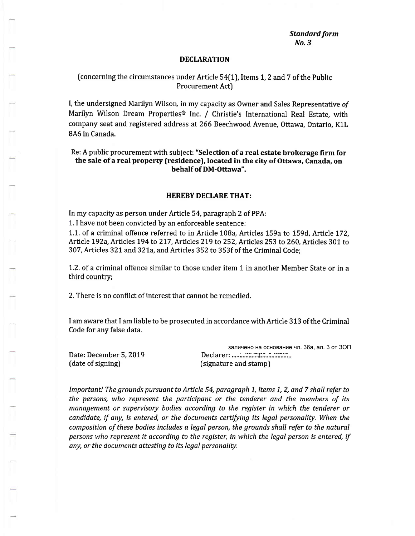#### [concerning the circumstances under Article 54(1), Items 7,2 and 7 of the Public Procurement Act)

I, the undersigned Marilyn Wilson, in my capacity as Owner and Sales Representative of Marilyn Wilson Dream Properties® Inc. / Christie's International Real Estate, with company seat and registered address at 266 Beechwood Avenue, Ottawa, Ontario, K1L 8A6 in Canada.

Re: A public procurement with subject: "selection of a real estate brokerage firm for the sale of a real property (residence), located in the city of Ottawa, Canada, on behalf of DM-Ottawa".

#### HEREBY DECLARE THAT:

In my capacity as person under Article 54, paragraph 2 of PPA:

1. I have not been convicted by an enforceable sentence:

1.1. of a criminal offence referred to in Article 108a, Articles 159a to 159d, Article L72, Article 192a, Articles 194 to 217, Articles 219 to 252, Articles 253 to 260, Articles 301 to 307,Articles 321and 32La,andArticles 352 to 353f of the Criminal Code;

'1.2. of a criminal offence similar to those under item 1 in another Member State or in <sup>a</sup> third country;

2. There is no conflict of interest that cannot be remedied.

I am aware that I am liable to be prosecuted in accordance with Article 313 of the Criminal Code for any false data.

Date: December 5,2019 (date of signing)

заличено на основани<br>Declarer: ........<del>..................</del> (signature and stamp) заличено на основание чл. 36а, ал. 3 от ЗОП

Important! The grounds pursuant to Article 54, paragraph 1, items 1, 2, and 7 shall refer to the persons, who represent the participant or the tenderer and the members of its management or supervisory bodies according to the register in which the tenderer or  $c$ andidate, if any, is entered, or the documents certifying its legal personality. When the composition of these bodies includes a legal person, the grounds shall refer to the natural persons who represent it according to the register, in which the legal person is entered, if any, or the documents attesting to its legal personality.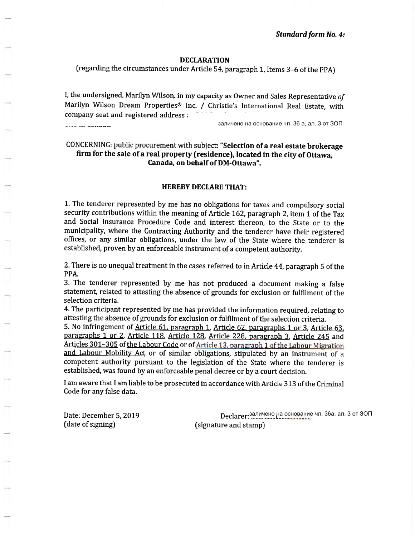(regarding the circumstances under Article 54, paragraph 1, Items 3-6 of the PPA)

I, the undersigned, Marilyn Wilson, in my capacity as Owner and Sales Representative of Marilyn Wilson Dream Properties® Inc. / Christie's International Real Estate, with company seat and registered address  $\epsilon$ 

846 in Canada.

заличено на основание чл. 36 а, ал. 3 от ЗОП

#### CONCERNING: public procurement with subject: "selection of a real estate brokerage firm for the sale of a real property (residence), located in the city of Ottawa, Canada, on behalf of DM-Ottawa".

#### HEREBY DECLARE THAT:

1. The tenderer represented by me has no obligations for taxes and compulsory social security contributions within the meaning of Article 162, paragraph 2, item 1 of the Tax and Social Insurance Procedure Code and interest thereon, to the State or to the municipality, where the Contracting Authority and the tenderer have their registered offices, or any similar obligations, under the law of the State where the tenderer is established, proven by an enforceable instrument of a competent authority.

2. There is no unequal treatment in the cases referred to in Article 44, paragraph 5 of the PPA.

3. The tenderer represented by me has not produced a document making a false statement, related to attesting the absence of grounds for exclusion or fulfilment of the selection criteria.

4. The participant represented by me has provided the information required, relating to attesting the absence of grounds for exclusion or fulfilment of the selection criteria.

5. No infringement of Article 61. paragraph 1. Article 62. paragraphs 1 or 3. Article 63. paragraphs 1 or 2, Article 118. Article 128. Article 228. paragraph 3, Article 245 and Articles 301-305 of the Labour Code or of Article 13, paragraph 1 of the Labour Migration and Labour Mobility Act or of similar obligations, stipulated by an instrument of a competent authority pursuant to the legislation of the State where the tenderer is established, was found by an enforceable penal decree or by a court decision.

I am aware that I am liable to be prosecuted in accordance with Article 313 of the Criminal Code for any false data.

Date: December 5,2019 (date of signing)

Declarer: ...M1\*..(,Uitfsor,,'" заличено на основание чл. 36а, ал. 3 от ЗОП(signature and stamp)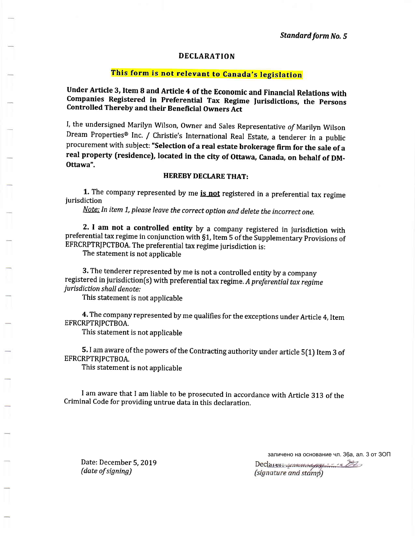#### This form is not relevant to Canada's legislation

Under Article 3, Item 8 and Article 4 of the Economic and Financial Relations with Companies Registered in Preferential Tax Regime Jurisdictions, the Persons Controlled Thereby and their Beneficial Owners Act

I, the undersigned Marilyn Wilson, Owner and Sales Representative of Marilyn Wilson Dream Properties® Inc. / Christie's International Real Estate, a tenderer in a public procurement with subject: "selection of a real estate brokerage firm for the sale of <sup>a</sup> real property (residence), located in the city of Ottawa, Canada, on behalf of DM-Ottawa".

#### HEREBY DECLARE THAT:

1. The company represented by me **is not** registered in a preferential tax regime jurisdiction

Note: In item 1, please leave the correct option and delete the incorrect one.

2. I am not a controlled entity by a company registered in jurisdiction with preferential tax regime in conjunction with §1, Item 5 of the Supplementary Provisions of EFRCRPTRIPCTBoA. The preferential tax regime jurisdiction is:

The statement is not applicable

3. The tenderer represented by me is not a controlled entity by a company registered in jurisdiction(s) with preferential tax regime. A preferential tax regime jurisdiction shall denote:

This statement is not applicable

4. The company represented by me qualifies for the exceptions under Article 4, Item EFRCRPTRJPCTBOA.

This statement is not applicable

5. I am aware of the powers of the Contracting authority under article 5(1) Item 3 of EFRCRPTRIPCTBOA.

This statement is not applicable

I am aware that I am liable to be prosecuted in accordance with Article 313 of the Criminal Code for providing untrue data in this declaration.

Date: December 5, 2019 (date of signing)

заличено на основание чл. 36а, ал. 3 от ЗОП $Deci<sub>arcs</sub>$   $\ldots$   $\ldots$ 

(signature and stamp)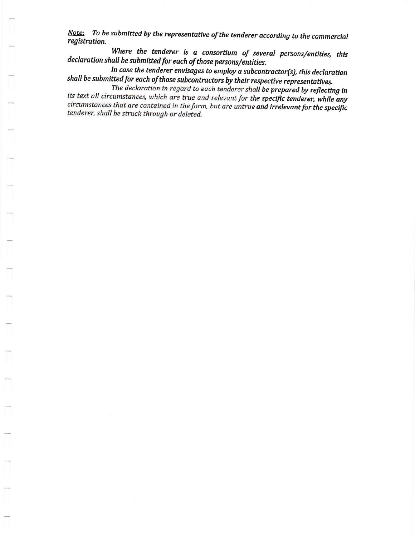Note: To be submitted by the representative of the tenderer according to the commercial registration.

Where the tenderer is a consortium of several persons/entlties, this declaration shall be submitted for each of those persons/entities.

In case the tenderer envisages to employ a subcontractor(s), this declaration shall be submitted for each of those subcontractors by their respective representatives.

The declaration in regard to each tenderer shall be prepared by reflecting in its text all circumstances, which are true and relevant for the specific tenderer, while any circumstances that are contained in the form, but are untrue and irrelevant for the specific tenderer, shall be struck through or deleted.